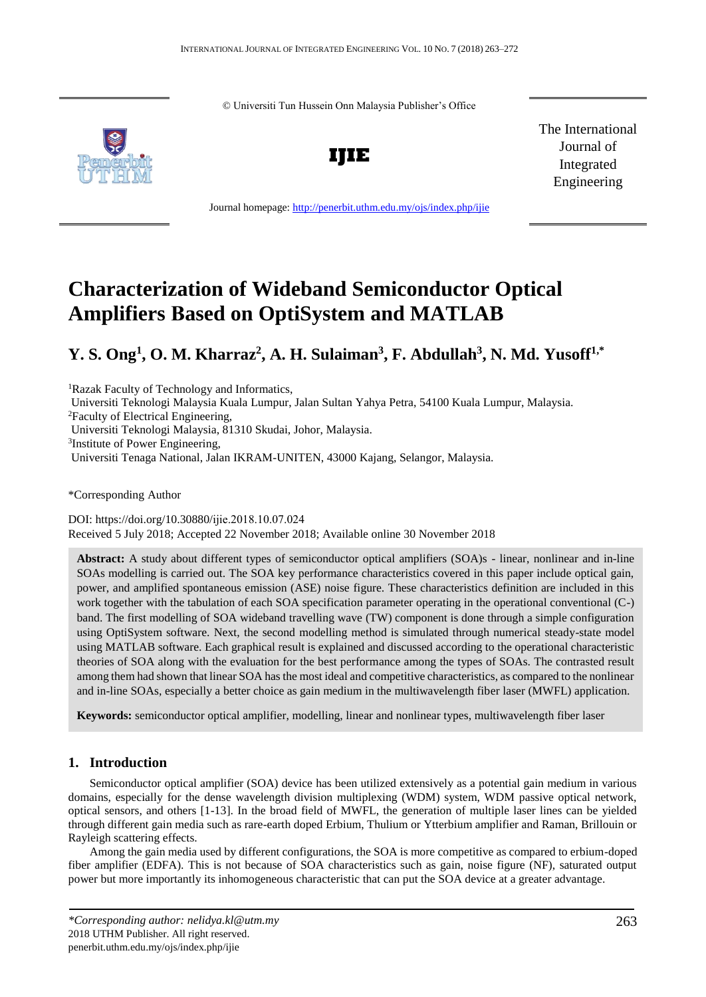© Universiti Tun Hussein Onn Malaysia Publisher's Office





Journal homepage:<http://penerbit.uthm.edu.my/ojs/index.php/ijie>

The International Journal of Integrated Engineering

# **Characterization of Wideband Semiconductor Optical Amplifiers Based on OptiSystem and MATLAB**

# **Y. S. Ong<sup>1</sup> , O. M. Kharraz<sup>2</sup> , A. H. Sulaiman<sup>3</sup> , F. Abdullah<sup>3</sup> , N. Md. Yusoff1,\***

<sup>1</sup>Razak Faculty of Technology and Informatics,

Universiti Teknologi Malaysia Kuala Lumpur, Jalan Sultan Yahya Petra, 54100 Kuala Lumpur, Malaysia.

<sup>2</sup>Faculty of Electrical Engineering,

Universiti Teknologi Malaysia, 81310 Skudai, Johor, Malaysia.

3 Institute of Power Engineering,

Universiti Tenaga National, Jalan IKRAM-UNITEN, 43000 Kajang, Selangor, Malaysia.

\*Corresponding Author

DOI: https://doi.org/10.30880/ijie.2018.10.07.024 Received 5 July 2018; Accepted 22 November 2018; Available online 30 November 2018

**Abstract:** A study about different types of semiconductor optical amplifiers (SOA)s - linear, nonlinear and in-line SOAs modelling is carried out. The SOA key performance characteristics covered in this paper include optical gain, power, and amplified spontaneous emission (ASE) noise figure. These characteristics definition are included in this work together with the tabulation of each SOA specification parameter operating in the operational conventional (C-) band. The first modelling of SOA wideband travelling wave (TW) component is done through a simple configuration using OptiSystem software. Next, the second modelling method is simulated through numerical steady-state model using MATLAB software. Each graphical result is explained and discussed according to the operational characteristic theories of SOA along with the evaluation for the best performance among the types of SOAs. The contrasted result among them had shown that linear SOA has the most ideal and competitive characteristics, as compared to the nonlinear and in-line SOAs, especially a better choice as gain medium in the multiwavelength fiber laser (MWFL) application.

**Keywords:** semiconductor optical amplifier, modelling, linear and nonlinear types, multiwavelength fiber laser

# **1. Introduction**

Semiconductor optical amplifier (SOA) device has been utilized extensively as a potential gain medium in various domains, especially for the dense wavelength division multiplexing (WDM) system, WDM passive optical network, optical sensors, and others [1-13]. In the broad field of MWFL, the generation of multiple laser lines can be yielded through different gain media such as rare-earth doped Erbium, Thulium or Ytterbium amplifier and Raman, Brillouin or Rayleigh scattering effects.

Among the gain media used by different configurations, the SOA is more competitive as compared to erbium-doped fiber amplifier (EDFA). This is not because of SOA characteristics such as gain, noise figure (NF), saturated output power but more importantly its inhomogeneous characteristic that can put the SOA device at a greater advantage.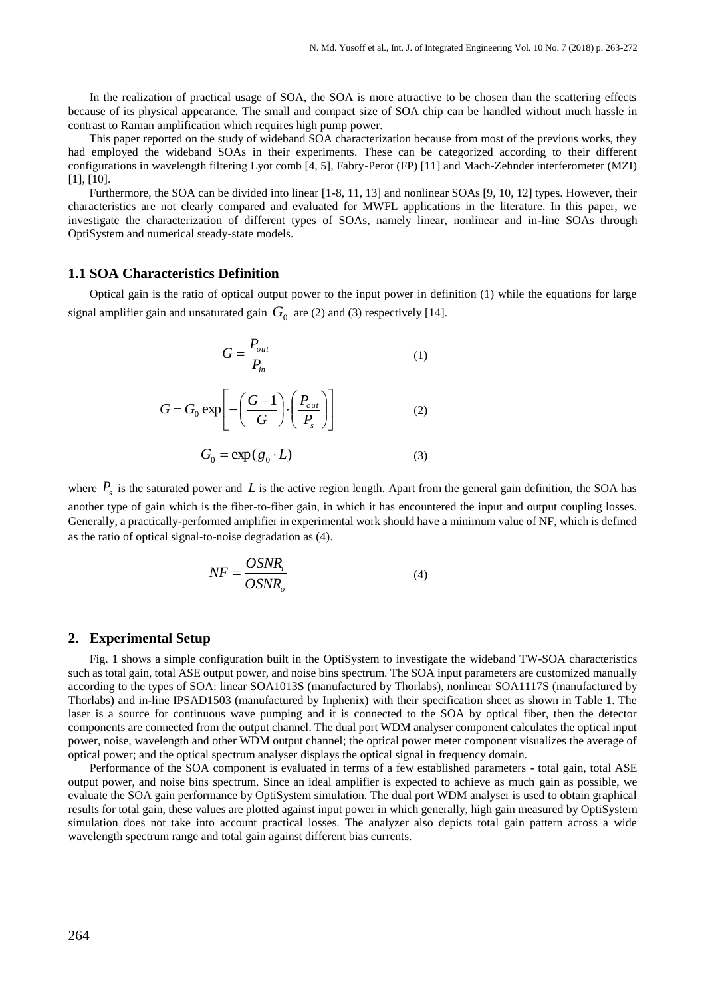In the realization of practical usage of SOA, the SOA is more attractive to be chosen than the scattering effects because of its physical appearance. The small and compact size of SOA chip can be handled without much hassle in contrast to Raman amplification which requires high pump power.

This paper reported on the study of wideband SOA characterization because from most of the previous works, they had employed the wideband SOAs in their experiments. These can be categorized according to their different configurations in wavelength filtering Lyot comb [4, 5], Fabry-Perot (FP) [11] and Mach-Zehnder interferometer (MZI) [1], [10].

Furthermore, the SOA can be divided into linear [1-8, 11, 13] and nonlinear SOAs [9, 10, 12] types. However, their characteristics are not clearly compared and evaluated for MWFL applications in the literature. In this paper, we investigate the characterization of different types of SOAs, namely linear, nonlinear and in-line SOAs through OptiSystem and numerical steady-state models.

# **1.1 SOA Characteristics Definition**

Optical gain is the ratio of optical output power to the input power in definition (1) while the equations for large signal amplifier gain and unsaturated gain  $G_0$  are (2) and (3) respectively [14].

$$
G = \frac{P_{out}}{P_{in}}\tag{1}
$$

$$
G = G_0 \exp\left[-\left(\frac{G-1}{G}\right) \cdot \left(\frac{P_{out}}{P_s}\right)\right]
$$
 (2)

$$
G_0 = \exp(g_0 \cdot L) \tag{3}
$$

where  $P_s$  is the saturated power and L is the active region length. Apart from the general gain definition, the SOA has another type of gain which is the fiber-to-fiber gain, in which it has encountered the input and output coupling losses. Generally, a practically-performed amplifier in experimental work should have a minimum value of NF, which is defined as the ratio of optical signal-to-noise degradation as (4).

$$
NF = \frac{OSNR_i}{OSNR_o} \tag{4}
$$

#### **2. Experimental Setup**

Fig. 1 shows a simple configuration built in the OptiSystem to investigate the wideband TW-SOA characteristics such as total gain, total ASE output power, and noise bins spectrum. The SOA input parameters are customized manually according to the types of SOA: linear SOA1013S (manufactured by Thorlabs), nonlinear SOA1117S (manufactured by Thorlabs) and in-line IPSAD1503 (manufactured by Inphenix) with their specification sheet as shown in Table 1. The laser is a source for continuous wave pumping and it is connected to the SOA by optical fiber, then the detector components are connected from the output channel. The dual port WDM analyser component calculates the optical input power, noise, wavelength and other WDM output channel; the optical power meter component visualizes the average of optical power; and the optical spectrum analyser displays the optical signal in frequency domain.

Performance of the SOA component is evaluated in terms of a few established parameters - total gain, total ASE output power, and noise bins spectrum. Since an ideal amplifier is expected to achieve as much gain as possible, we evaluate the SOA gain performance by OptiSystem simulation. The dual port WDM analyser is used to obtain graphical results for total gain, these values are plotted against input power in which generally, high gain measured by OptiSystem simulation does not take into account practical losses. The analyzer also depicts total gain pattern across a wide wavelength spectrum range and total gain against different bias currents.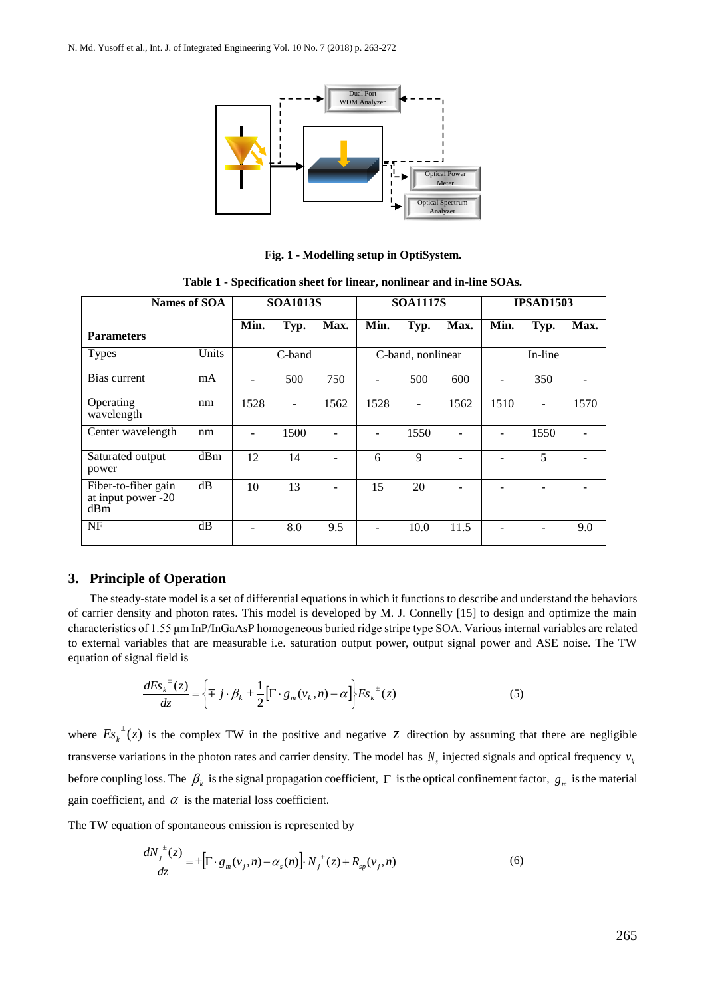

**Fig. 1 - Modelling setup in OptiSystem.**

| Names of SOA                                     |       | <b>SOA1013S</b> |        |      | <b>SOA1117S</b> |                   |      | <b>IPSAD1503</b> |         |      |
|--------------------------------------------------|-------|-----------------|--------|------|-----------------|-------------------|------|------------------|---------|------|
| <b>Parameters</b>                                |       | Min.            | Typ.   | Max. | Min.            | Typ.              | Max. | Min.             | Typ.    | Max. |
| <b>Types</b>                                     | Units |                 | C-band |      |                 | C-band, nonlinear |      |                  | In-line |      |
| Bias current                                     | mA    |                 | 500    | 750  |                 | 500               | 600  |                  | 350     |      |
| Operating<br>wavelength                          | nm    | 1528            | ۰      | 1562 | 1528            | $\blacksquare$    | 1562 | 1510             |         | 1570 |
| Center wavelength                                | nm    | $\blacksquare$  | 1500   |      |                 | 1550              |      |                  | 1550    |      |
| Saturated output<br>power                        | dBm   | 12              | 14     |      | 6               | 9                 |      |                  | 5       |      |
| Fiber-to-fiber gain<br>at input power -20<br>dBm | dB    | 10              | 13     |      | 15              | 20                |      |                  |         |      |
| <b>NF</b>                                        | dB    |                 | 8.0    | 9.5  |                 | 10.0              | 11.5 |                  |         | 9.0  |

**Table 1 - Specification sheet for linear, nonlinear and in-line SOAs.**

Wideband TW-SOA

# **3. Principle of Operation**

The steady-state model is a set of differential equations in which it functions to describe and understand the behaviors of carrier density and photon rates. This model is developed by M. J. Connelly [15] to design and optimize the main characteristics of 1.55 μm InP/InGaAsP homogeneous buried ridge stripe type SOA. Various internal variables are related to external variables that are measurable i.e. saturation output power, output signal power and ASE noise. The TW equation of signal field is

$$
\frac{dE s_k^{\pm}(z)}{dz} = \left\{ \mp j \cdot \beta_k \pm \frac{1}{2} \left[ \Gamma \cdot g_m(v_k, n) - \alpha \right] \right\} E s_k^{\pm}(z) \tag{5}
$$

where  $E_{s_k}^{\dagger}(z)$  $\pm(z)$  is the complex TW in the positive and negative *z* direction by assuming that there are negligible transverse variations in the photon rates and carrier density. The model has  $N_s$  injected signals and optical frequency  $v_k$ before coupling loss. The  $\beta_k$  is the signal propagation coefficient,  $\Gamma$  is the optical confinement factor,  $g_m$  is the material gain coefficient, and  $\alpha$  is the material loss coefficient.

The TW equation of spontaneous emission is represented by

$$
\frac{dN_j^{\, \pm}(z)}{dz} = \pm \Big[ \Gamma \cdot g_m(\nu_j, n) - \alpha_s(n) \Big] \cdot N_j^{\, \pm}(z) + R_{sp}(\nu_j, n) \tag{6}
$$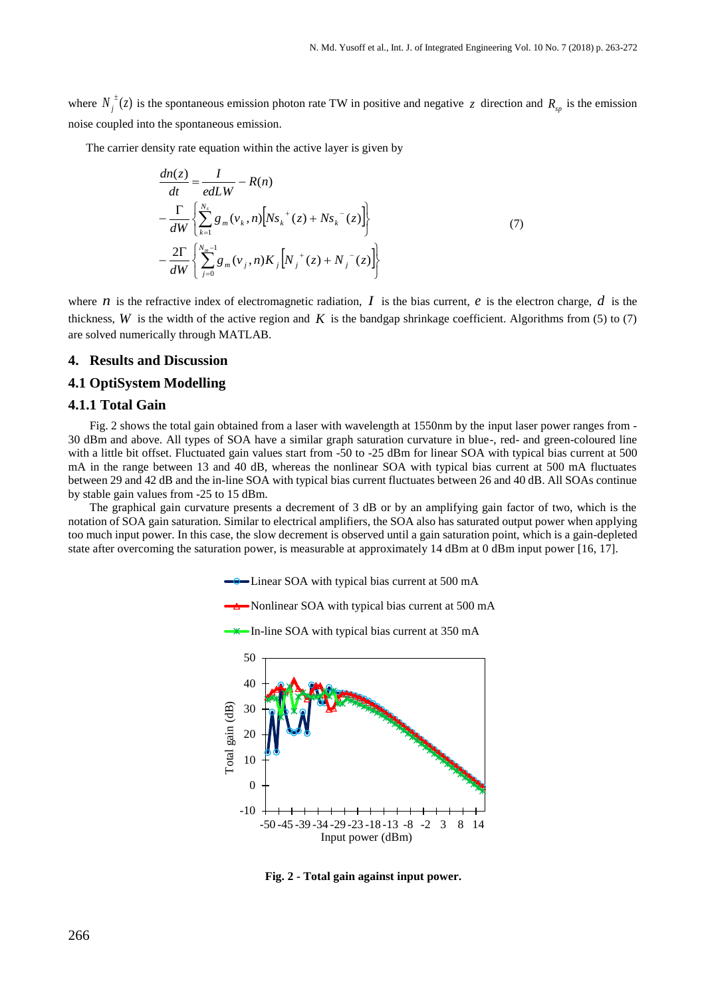where  $N_j^{\dagger}(z)$  $\sigma^{\pm}(z)$  is the spontaneous emission photon rate TW in positive and negative z direction and  $R_{sp}$  is the emission noise coupled into the spontaneous emission.

The carrier density rate equation within the active layer is given by

$$
\frac{dn(z)}{dt} = \frac{I}{edLW} - R(n)
$$
\n
$$
-\frac{\Gamma}{dW} \left\{ \sum_{k=1}^{N_s} g_m(v_k, n) \left[ N s_k^+(z) + N s_k^-(z) \right] \right\}
$$
\n
$$
-\frac{2\Gamma}{dW} \left\{ \sum_{j=0}^{N_m-1} g_m(v_j, n) K_j \left[ N_j^+(z) + N_j^-(z) \right] \right\}
$$
\n(7)

where *n* is the refractive index of electromagnetic radiation, *I* is the bias current, *e* is the electron charge, *d* is the thickness,  $W$  is the width of the active region and  $K$  is the bandgap shrinkage coefficient. Algorithms from (5) to (7) are solved numerically through MATLAB.

# **4. Results and Discussion**

# **4.1 OptiSystem Modelling**

#### **4.1.1 Total Gain**

Fig. 2 shows the total gain obtained from a laser with wavelength at 1550nm by the input laser power ranges from - 30 dBm and above. All types of SOA have a similar graph saturation curvature in blue-, red- and green-coloured line with a little bit offset. Fluctuated gain values start from -50 to -25 dBm for linear SOA with typical bias current at 500 mA in the range between 13 and 40 dB, whereas the nonlinear SOA with typical bias current at 500 mA fluctuates between 29 and 42 dB and the in-line SOA with typical bias current fluctuates between 26 and 40 dB. All SOAs continue by stable gain values from -25 to 15 dBm.

The graphical gain curvature presents a decrement of 3 dB or by an amplifying gain factor of two, which is the notation of SOA gain saturation. Similar to electrical amplifiers, the SOA also has saturated output power when applying too much input power. In this case, the slow decrement is observed until a gain saturation point, which is a gain-depleted state after overcoming the saturation power, is measurable at approximately 14 dBm at 0 dBm input power [16, 17].

 $\rightarrow$  Linear SOA with typical bias current at 500 mA

Nonlinear SOA with typical bias current at 500 mA

 $\rightarrow$  In-line SOA with typical bias current at 350 mA



**Fig. 2 - Total gain against input power.**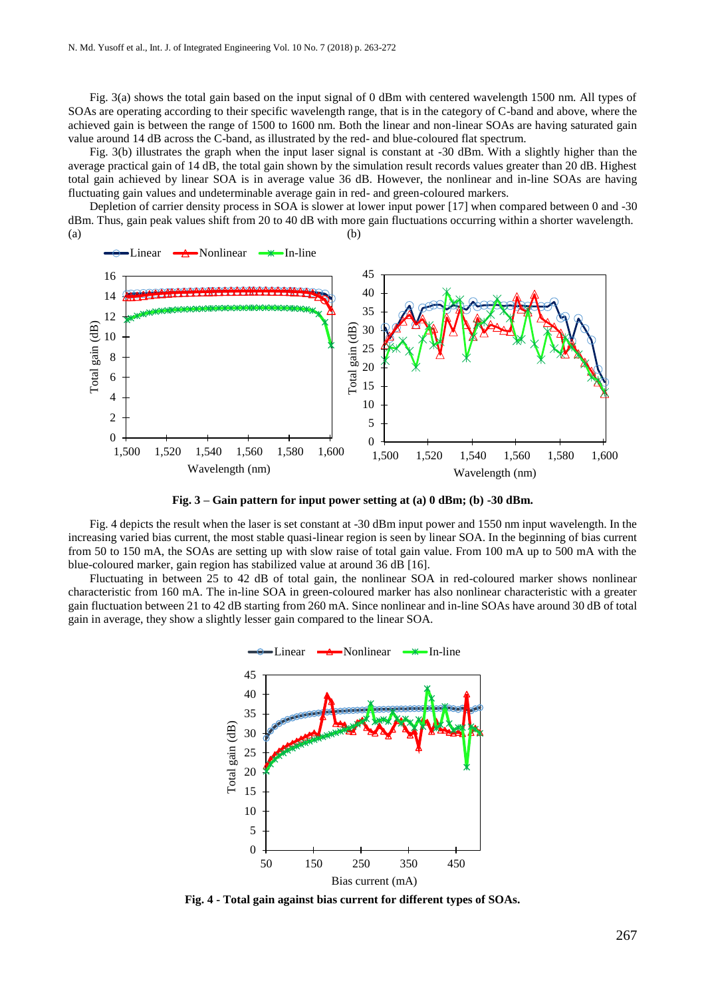Fig. 3(a) shows the total gain based on the input signal of 0 dBm with centered wavelength 1500 nm. All types of SOAs are operating according to their specific wavelength range, that is in the category of C-band and above, where the achieved gain is between the range of 1500 to 1600 nm. Both the linear and non-linear SOAs are having saturated gain value around 14 dB across the C-band, as illustrated by the red- and blue-coloured flat spectrum.

Fig. 3(b) illustrates the graph when the input laser signal is constant at -30 dBm. With a slightly higher than the average practical gain of 14 dB, the total gain shown by the simulation result records values greater than 20 dB. Highest total gain achieved by linear SOA is in average value 36 dB. However, the nonlinear and in-line SOAs are having fluctuating gain values and undeterminable average gain in red- and green-coloured markers.

Depletion of carrier density process in SOA is slower at lower input power [17] when compared between 0 and -30 dBm. Thus, gain peak values shift from 20 to 40 dB with more gain fluctuations occurring within a shorter wavelength.  $(a)$  (b)



**Fig. 3 – Gain pattern for input power setting at (a) 0 dBm; (b) -30 dBm.**

Fig. 4 depicts the result when the laser is set constant at -30 dBm input power and 1550 nm input wavelength. In the increasing varied bias current, the most stable quasi-linear region is seen by linear SOA. In the beginning of bias current from 50 to 150 mA, the SOAs are setting up with slow raise of total gain value. From 100 mA up to 500 mA with the blue-coloured marker, gain region has stabilized value at around 36 dB [16].

Fluctuating in between 25 to 42 dB of total gain, the nonlinear SOA in red-coloured marker shows nonlinear characteristic from 160 mA. The in-line SOA in green-coloured marker has also nonlinear characteristic with a greater gain fluctuation between 21 to 42 dB starting from 260 mA. Since nonlinear and in-line SOAs have around 30 dB of total gain in average, they show a slightly lesser gain compared to the linear SOA.



**Fig. 4 - Total gain against bias current for different types of SOAs.**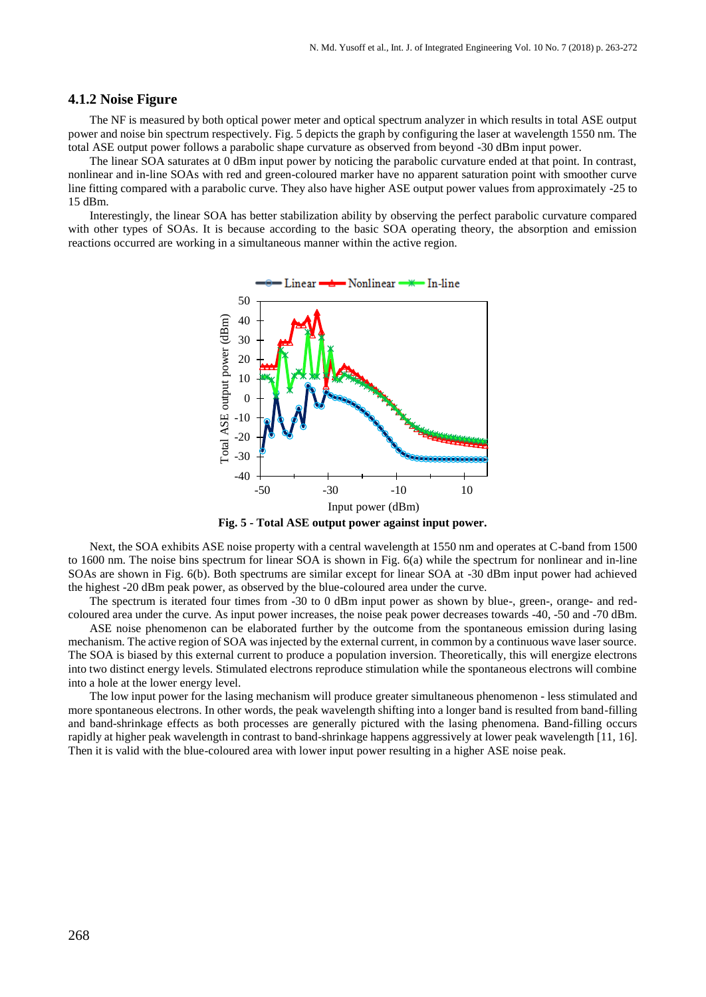# **4.1.2 Noise Figure**

The NF is measured by both optical power meter and optical spectrum analyzer in which results in total ASE output power and noise bin spectrum respectively. Fig. 5 depicts the graph by configuring the laser at wavelength 1550 nm. The total ASE output power follows a parabolic shape curvature as observed from beyond -30 dBm input power.

The linear SOA saturates at 0 dBm input power by noticing the parabolic curvature ended at that point. In contrast, nonlinear and in-line SOAs with red and green-coloured marker have no apparent saturation point with smoother curve line fitting compared with a parabolic curve. They also have higher ASE output power values from approximately -25 to 15 dBm.

Interestingly, the linear SOA has better stabilization ability by observing the perfect parabolic curvature compared with other types of SOAs. It is because according to the basic SOA operating theory, the absorption and emission reactions occurred are working in a simultaneous manner within the active region.



**Fig. 5 - Total ASE output power against input power.**

Next, the SOA exhibits ASE noise property with a central wavelength at 1550 nm and operates at C-band from 1500 to 1600 nm. The noise bins spectrum for linear SOA is shown in Fig. 6(a) while the spectrum for nonlinear and in-line SOAs are shown in Fig. 6(b). Both spectrums are similar except for linear SOA at -30 dBm input power had achieved the highest -20 dBm peak power, as observed by the blue-coloured area under the curve.

The spectrum is iterated four times from -30 to 0 dBm input power as shown by blue-, green-, orange- and redcoloured area under the curve. As input power increases, the noise peak power decreases towards -40, -50 and -70 dBm.

ASE noise phenomenon can be elaborated further by the outcome from the spontaneous emission during lasing mechanism. The active region of SOA was injected by the external current, in common by a continuous wave laser source. The SOA is biased by this external current to produce a population inversion. Theoretically, this will energize electrons into two distinct energy levels. Stimulated electrons reproduce stimulation while the spontaneous electrons will combine into a hole at the lower energy level.

The low input power for the lasing mechanism will produce greater simultaneous phenomenon - less stimulated and more spontaneous electrons. In other words, the peak wavelength shifting into a longer band is resulted from band-filling and band-shrinkage effects as both processes are generally pictured with the lasing phenomena. Band-filling occurs rapidly at higher peak wavelength in contrast to band-shrinkage happens aggressively at lower peak wavelength [11, 16]. Then it is valid with the blue-coloured area with lower input power resulting in a higher ASE noise peak.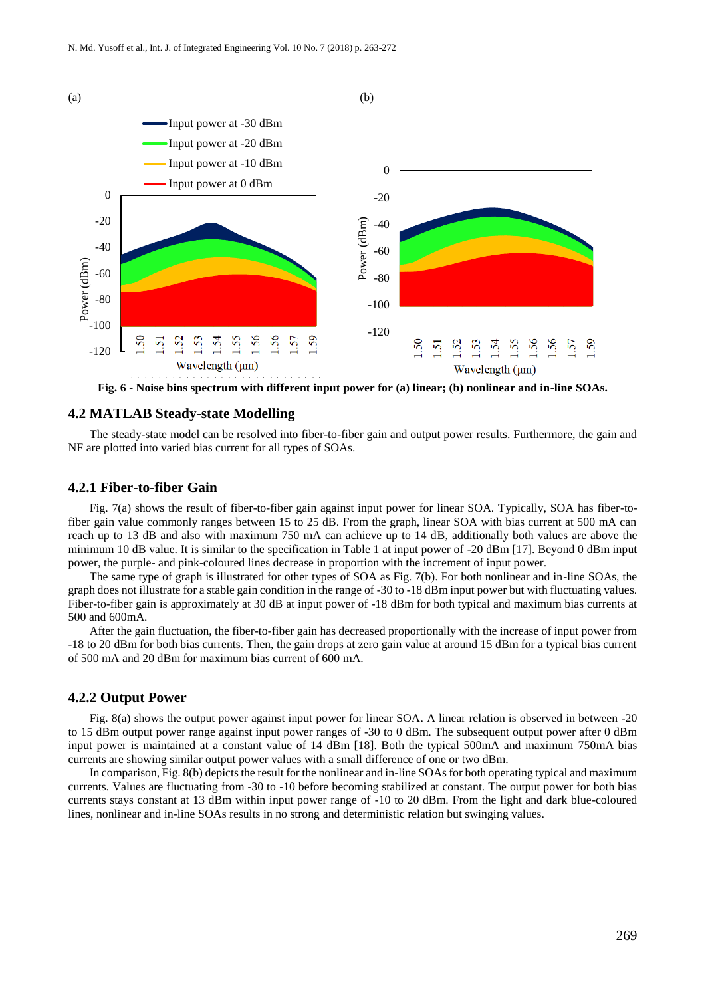

**Fig. 6 - Noise bins spectrum with different input power for (a) linear; (b) nonlinear and in-line SOAs.**

#### **4.2 MATLAB Steady-state Modelling**

The steady-state model can be resolved into fiber-to-fiber gain and output power results. Furthermore, the gain and NF are plotted into varied bias current for all types of SOAs.

### **4.2.1 Fiber-to-fiber Gain**

Fig. 7(a) shows the result of fiber-to-fiber gain against input power for linear SOA. Typically, SOA has fiber-tofiber gain value commonly ranges between 15 to 25 dB. From the graph, linear SOA with bias current at 500 mA can reach up to 13 dB and also with maximum 750 mA can achieve up to 14 dB, additionally both values are above the minimum 10 dB value. It is similar to the specification in Table 1 at input power of -20 dBm [17]. Beyond 0 dBm input power, the purple- and pink-coloured lines decrease in proportion with the increment of input power.

The same type of graph is illustrated for other types of SOA as Fig. 7(b). For both nonlinear and in-line SOAs, the graph does not illustrate for a stable gain condition in the range of -30 to -18 dBm input power but with fluctuating values. Fiber-to-fiber gain is approximately at 30 dB at input power of -18 dBm for both typical and maximum bias currents at 500 and 600mA.

After the gain fluctuation, the fiber-to-fiber gain has decreased proportionally with the increase of input power from -18 to 20 dBm for both bias currents. Then, the gain drops at zero gain value at around 15 dBm for a typical bias current of 500 mA and 20 dBm for maximum bias current of 600 mA.

#### **4.2.2 Output Power**

Fig. 8(a) shows the output power against input power for linear SOA. A linear relation is observed in between -20 to 15 dBm output power range against input power ranges of -30 to 0 dBm. The subsequent output power after 0 dBm input power is maintained at a constant value of 14 dBm [18]. Both the typical 500mA and maximum 750mA bias currents are showing similar output power values with a small difference of one or two dBm.

In comparison, Fig. 8(b) depicts the result for the nonlinear and in-line SOAs for both operating typical and maximum currents. Values are fluctuating from -30 to -10 before becoming stabilized at constant. The output power for both bias currents stays constant at 13 dBm within input power range of -10 to 20 dBm. From the light and dark blue-coloured lines, nonlinear and in-line SOAs results in no strong and deterministic relation but swinging values.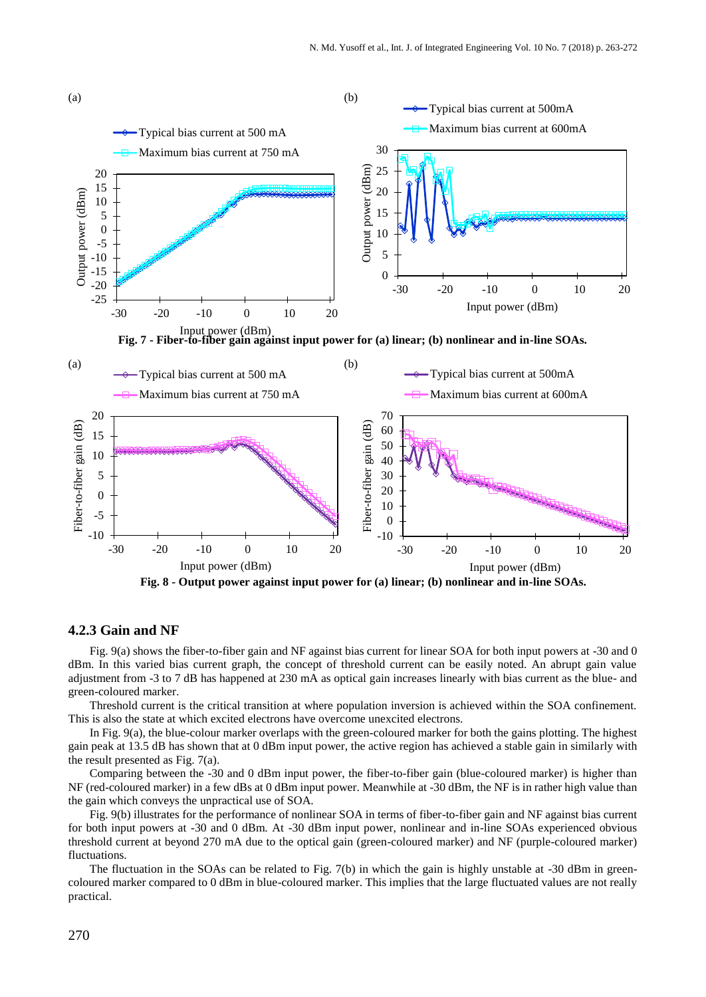

#### **4.2.3 Gain and NF**

Fig. 9(a) shows the fiber-to-fiber gain and NF against bias current for linear SOA for both input powers at -30 and 0 dBm. In this varied bias current graph, the concept of threshold current can be easily noted. An abrupt gain value adjustment from -3 to 7 dB has happened at 230 mA as optical gain increases linearly with bias current as the blue- and green-coloured marker.

Threshold current is the critical transition at where population inversion is achieved within the SOA confinement. This is also the state at which excited electrons have overcome unexcited electrons.

In Fig. 9(a), the blue-colour marker overlaps with the green-coloured marker for both the gains plotting. The highest gain peak at 13.5 dB has shown that at 0 dBm input power, the active region has achieved a stable gain in similarly with the result presented as Fig. 7(a).

Comparing between the -30 and 0 dBm input power, the fiber-to-fiber gain (blue-coloured marker) is higher than NF (red-coloured marker) in a few dBs at 0 dBm input power. Meanwhile at -30 dBm, the NF is in rather high value than the gain which conveys the unpractical use of SOA.

Fig. 9(b) illustrates for the performance of nonlinear SOA in terms of fiber-to-fiber gain and NF against bias current for both input powers at -30 and 0 dBm. At -30 dBm input power, nonlinear and in-line SOAs experienced obvious threshold current at beyond 270 mA due to the optical gain (green-coloured marker) and NF (purple-coloured marker) fluctuations.

The fluctuation in the SOAs can be related to Fig. 7(b) in which the gain is highly unstable at -30 dBm in greencoloured marker compared to 0 dBm in blue-coloured marker. This implies that the large fluctuated values are not really practical.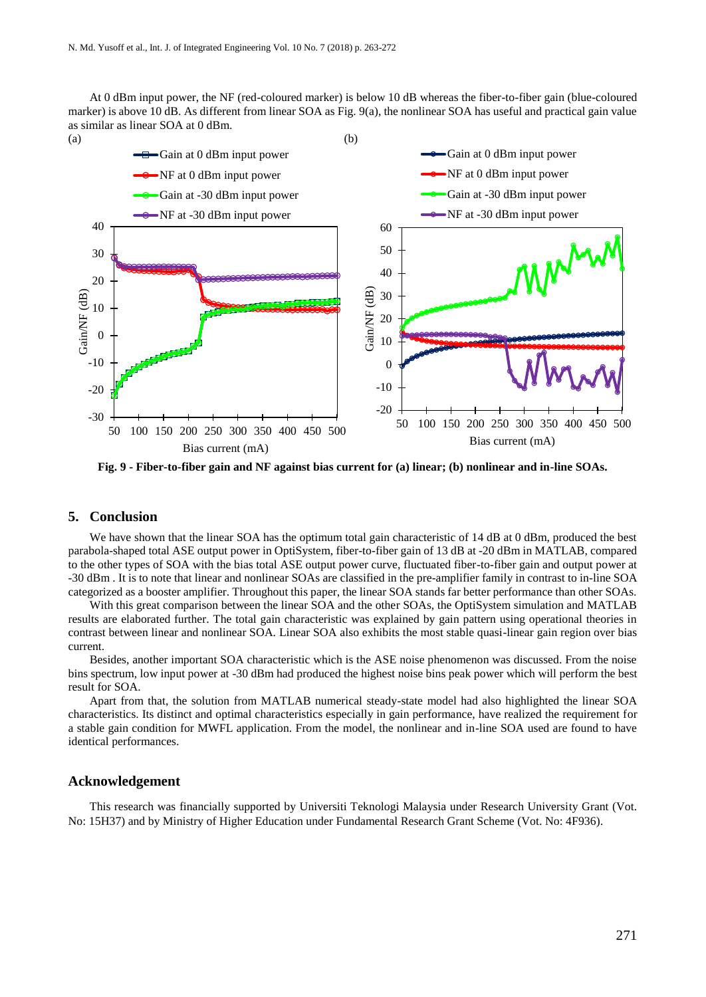At 0 dBm input power, the NF (red-coloured marker) is below 10 dB whereas the fiber-to-fiber gain (blue-coloured marker) is above 10 dB. As different from linear SOA as Fig. 9(a), the nonlinear SOA has useful and practical gain value as similar as linear SOA at 0 dBm.





**Fig. 9 - Fiber-to-fiber gain and NF against bias current for (a) linear; (b) nonlinear and in-line SOAs.**

# **5. Conclusion**

We have shown that the linear SOA has the optimum total gain characteristic of 14 dB at 0 dBm, produced the best parabola-shaped total ASE output power in OptiSystem, fiber-to-fiber gain of 13 dB at -20 dBm in MATLAB, compared to the other types of SOA with the bias total ASE output power curve, fluctuated fiber-to-fiber gain and output power at -30 dBm . It is to note that linear and nonlinear SOAs are classified in the pre-amplifier family in contrast to in-line SOA categorized as a booster amplifier. Throughout this paper, the linear SOA stands far better performance than other SOAs.

With this great comparison between the linear SOA and the other SOAs, the OptiSystem simulation and MATLAB results are elaborated further. The total gain characteristic was explained by gain pattern using operational theories in contrast between linear and nonlinear SOA. Linear SOA also exhibits the most stable quasi-linear gain region over bias current.

Besides, another important SOA characteristic which is the ASE noise phenomenon was discussed. From the noise bins spectrum, low input power at -30 dBm had produced the highest noise bins peak power which will perform the best result for SOA.

Apart from that, the solution from MATLAB numerical steady-state model had also highlighted the linear SOA characteristics. Its distinct and optimal characteristics especially in gain performance, have realized the requirement for a stable gain condition for MWFL application. From the model, the nonlinear and in-line SOA used are found to have identical performances.

#### **Acknowledgement**

This research was financially supported by Universiti Teknologi Malaysia under Research University Grant (Vot. No: 15H37) and by Ministry of Higher Education under Fundamental Research Grant Scheme (Vot. No: 4F936).